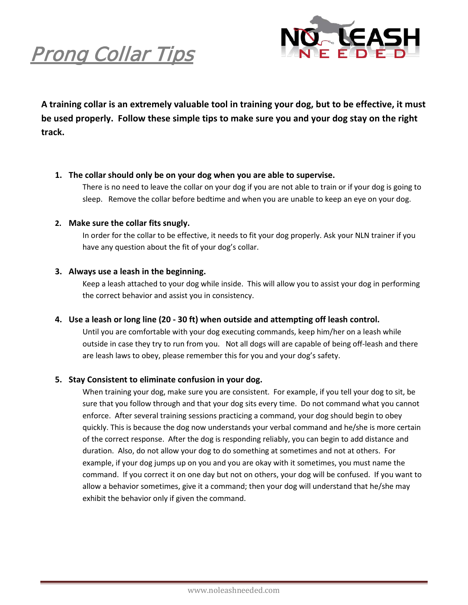



**A training collar is an extremely valuable tool in training your dog, but to be effective, it must be used properly. Follow these simple tips to make sure you and your dog stay on the right track.**

#### **1. The collar should only be on your dog when you are able to supervise.**

There is no need to leave the collar on your dog if you are not able to train or if your dog is going to sleep. Remove the collar before bedtime and when you are unable to keep an eye on your dog.

#### **2. Make sure the collar fits snugly.**

In order for the collar to be effective, it needs to fit your dog properly. Ask your NLN trainer if you have any question about the fit of your dog's collar.

## **3. Always use a leash in the beginning.**

Keep a leash attached to your dog while inside. This will allow you to assist your dog in performing the correct behavior and assist you in consistency.

## **4. Use a leash or long line (20 - 30 ft) when outside and attempting off leash control.**

Until you are comfortable with your dog executing commands, keep him/her on a leash while outside in case they try to run from you. Not all dogs will are capable of being off-leash and there are leash laws to obey, please remember this for you and your dog's safety.

## **5. Stay Consistent to eliminate confusion in your dog.**

When training your dog, make sure you are consistent. For example, if you tell your dog to sit, be sure that you follow through and that your dog sits every time. Do not command what you cannot enforce. After several training sessions practicing a command, your dog should begin to obey quickly. This is because the dog now understands your verbal command and he/she is more certain of the correct response. After the dog is responding reliably, you can begin to add distance and duration. Also, do not allow your dog to do something at sometimes and not at others. For example, if your dog jumps up on you and you are okay with it sometimes, you must name the command. If you correct it on one day but not on others, your dog will be confused. If you want to allow a behavior sometimes, give it a command; then your dog will understand that he/she may exhibit the behavior only if given the command.